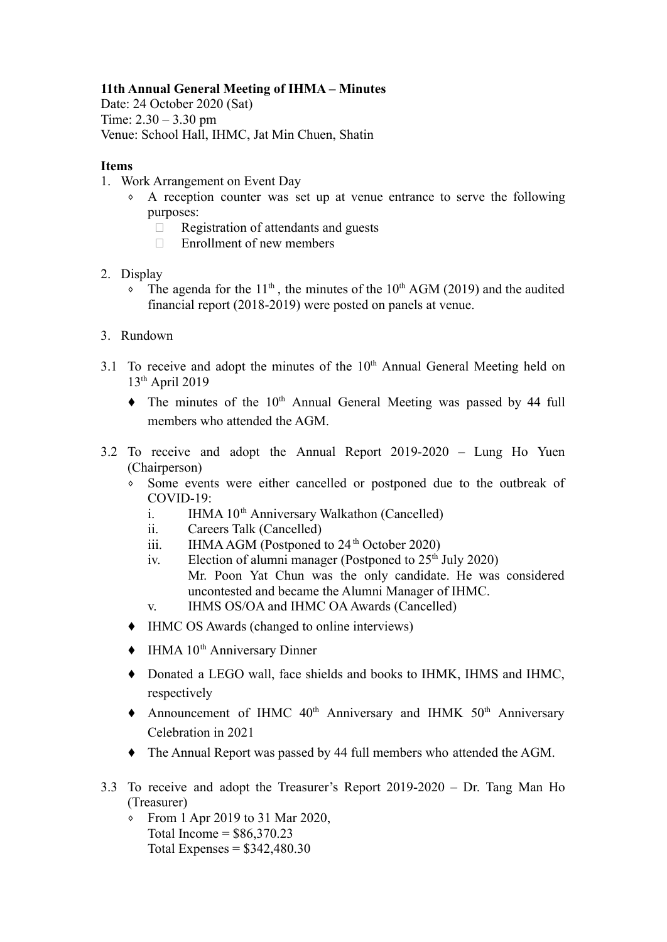## **11th Annual General Meeting of IHMA – Minutes**

Date: 24 October 2020 (Sat) Time:  $2.30 - 3.30$  pm Venue: School Hall, IHMC, Jat Min Chuen, Shatin

## **Items**

- 1. Work Arrangement on Event Day
	- ⬧ A reception counter was set up at venue entrance to serve the following purposes:
		- $\Box$  Registration of attendants and guests
		- $\Box$  Enrollment of new members
- 2. Display
	- The agenda for the  $11<sup>th</sup>$ , the minutes of the  $10<sup>th</sup>$  AGM (2019) and the audited financial report (2018-2019) were posted on panels at venue.
- 3. Rundown
- 3.1 To receive and adopt the minutes of the  $10<sup>th</sup>$  Annual General Meeting held on 13th April 2019
	- $\bullet$  The minutes of the 10<sup>th</sup> Annual General Meeting was passed by 44 full members who attended the AGM.
- 3.2 To receive and adopt the Annual Report 2019-2020 Lung Ho Yuen (Chairperson)
	- ⬧ Some events were either cancelled or postponed due to the outbreak of COVID-19:
		- i. IHMA  $10<sup>th</sup>$  Anniversary Walkathon (Cancelled)
		- ii. Careers Talk (Cancelled)
		- iii. IHMAAGM (Postponed to  $24<sup>th</sup>$  October 2020)
		- iv. Election of alumni manager (Postponed to  $25<sup>th</sup>$  July 2020) Mr. Poon Yat Chun was the only candidate. He was considered uncontested and became the Alumni Manager of IHMC.
		- v. IHMS OS/OA and IHMC OAAwards (Cancelled)
	- ⬧ IHMC OS Awards (changed to online interviews)
	- $\bullet$  IHMA 10<sup>th</sup> Anniversary Dinner
	- ⬧ Donated a LEGO wall, face shields and books to IHMK, IHMS and IHMC, respectively
	- $\blacklozenge$  Announcement of IHMC 40<sup>th</sup> Anniversary and IHMK 50<sup>th</sup> Anniversary Celebration in 2021
	- ⬧ The Annual Report was passed by 44 full members who attended the AGM.
- 3.3 To receive and adopt the Treasurer's Report 2019-2020 Dr. Tang Man Ho (Treasurer)
	- ⬧ From 1 Apr 2019 to 31 Mar 2020, Total Income =  $$86,370.23$ Total Expenses =  $$342,480.30$